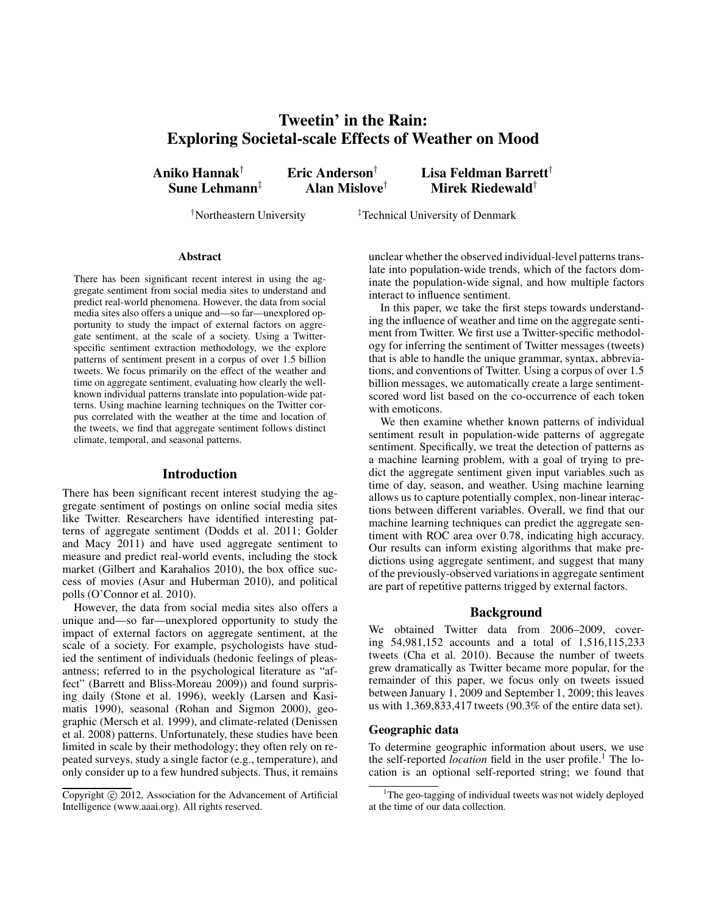# **Tweetin' in the Rain: Exploring Societal-scale Effects of Weather on Mood**

**Aniko Hannak**† **Eric Anderson**† **Lisa Feldman Barrett**† **Sune Lehmann**‡ **Alan Mislove**† **Mirek Riedewald**†

<sup>†</sup>Northeastern University <sup>‡</sup>Technical University of Denmark

#### **Abstract**

There has been significant recent interest in using the aggregate sentiment from social media sites to understand and predict real-world phenomena. However, the data from social media sites also offers a unique and—so far—unexplored opportunity to study the impact of external factors on aggregate sentiment, at the scale of a society. Using a Twitterspecific sentiment extraction methodology, we the explore patterns of sentiment present in a corpus of over 1.5 billion tweets. We focus primarily on the effect of the weather and time on aggregate sentiment, evaluating how clearly the wellknown individual patterns translate into population-wide patterns. Using machine learning techniques on the Twitter corpus correlated with the weather at the time and location of the tweets, we find that aggregate sentiment follows distinct climate, temporal, and seasonal patterns.

## **Introduction**

There has been significant recent interest studying the aggregate sentiment of postings on online social media sites like Twitter. Researchers have identified interesting patterns of aggregate sentiment (Dodds et al. 2011; Golder and Macy 2011) and have used aggregate sentiment to measure and predict real-world events, including the stock market (Gilbert and Karahalios 2010), the box office success of movies (Asur and Huberman 2010), and political polls (O'Connor et al. 2010).

However, the data from social media sites also offers a unique and—so far—unexplored opportunity to study the impact of external factors on aggregate sentiment, at the scale of a society. For example, psychologists have studied the sentiment of individuals (hedonic feelings of pleasantness; referred to in the psychological literature as "affect" (Barrett and Bliss-Moreau 2009)) and found surprising daily (Stone et al. 1996), weekly (Larsen and Kasimatis 1990), seasonal (Rohan and Sigmon 2000), geographic (Mersch et al. 1999), and climate-related (Denissen et al. 2008) patterns. Unfortunately, these studies have been limited in scale by their methodology; they often rely on repeated surveys, study a single factor (e.g., temperature), and only consider up to a few hundred subjects. Thus, it remains unclear whether the observed individual-level patterns translate into population-wide trends, which of the factors dominate the population-wide signal, and how multiple factors interact to influence sentiment.

In this paper, we take the first steps towards understanding the influence of weather and time on the aggregate sentiment from Twitter. We first use a Twitter-specific methodology for inferring the sentiment of Twitter messages (tweets) that is able to handle the unique grammar, syntax, abbreviations, and conventions of Twitter. Using a corpus of over 1.5 billion messages, we automatically create a large sentimentscored word list based on the co-occurrence of each token with emoticons.

We then examine whether known patterns of individual sentiment result in population-wide patterns of aggregate sentiment. Specifically, we treat the detection of patterns as a machine learning problem, with a goal of trying to predict the aggregate sentiment given input variables such as time of day, season, and weather. Using machine learning allows us to capture potentially complex, non-linear interactions between different variables. Overall, we find that our machine learning techniques can predict the aggregate sentiment with ROC area over 0.78, indicating high accuracy. Our results can inform existing algorithms that make predictions using aggregate sentiment, and suggest that many of the previously-observed variations in aggregate sentiment are part of repetitive patterns trigged by external factors.

# **Background**

We obtained Twitter data from 2006–2009, covering 54,981,152 accounts and a total of 1,516,115,233 tweets (Cha et al. 2010). Because the number of tweets grew dramatically as Twitter became more popular, for the remainder of this paper, we focus only on tweets issued between January 1, 2009 and September 1, 2009; this leaves us with 1,369,833,417 tweets (90.3% of the entire data set).

#### **Geographic data**

To determine geographic information about users, we use the self-reported *location* field in the user profile.<sup>1</sup> The location is an optional self-reported string; we found that

Copyright (c) 2012, Association for the Advancement of Artificial Intelligence (www.aaai.org). All rights reserved.

<sup>&</sup>lt;sup>1</sup>The geo-tagging of individual tweets was not widely deployed at the time of our data collection.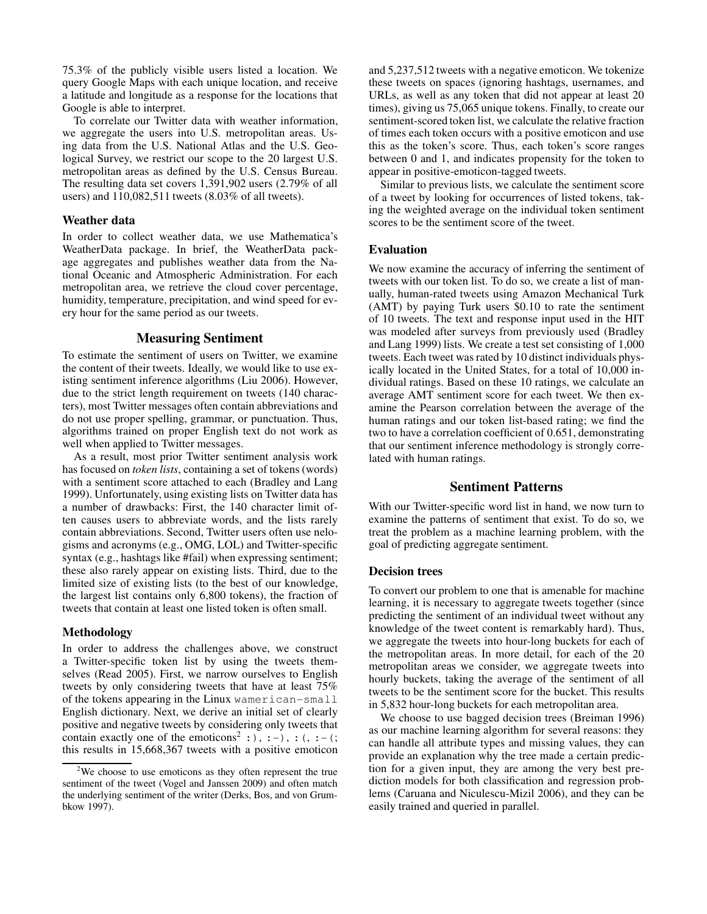75.3% of the publicly visible users listed a location. We query Google Maps with each unique location, and receive a latitude and longitude as a response for the locations that Google is able to interpret.

To correlate our Twitter data with weather information, we aggregate the users into U.S. metropolitan areas. Using data from the U.S. National Atlas and the U.S. Geological Survey, we restrict our scope to the 20 largest U.S. metropolitan areas as defined by the U.S. Census Bureau. The resulting data set covers 1,391,902 users (2.79% of all users) and 110,082,511 tweets (8.03% of all tweets).

# **Weather data**

In order to collect weather data, we use Mathematica's WeatherData package. In brief, the WeatherData package aggregates and publishes weather data from the National Oceanic and Atmospheric Administration. For each metropolitan area, we retrieve the cloud cover percentage, humidity, temperature, precipitation, and wind speed for every hour for the same period as our tweets.

# **Measuring Sentiment**

To estimate the sentiment of users on Twitter, we examine the content of their tweets. Ideally, we would like to use existing sentiment inference algorithms (Liu 2006). However, due to the strict length requirement on tweets (140 characters), most Twitter messages often contain abbreviations and do not use proper spelling, grammar, or punctuation. Thus, algorithms trained on proper English text do not work as well when applied to Twitter messages.

As a result, most prior Twitter sentiment analysis work has focused on *token lists*, containing a set of tokens (words) with a sentiment score attached to each (Bradley and Lang 1999). Unfortunately, using existing lists on Twitter data has a number of drawbacks: First, the 140 character limit often causes users to abbreviate words, and the lists rarely contain abbreviations. Second, Twitter users often use nelogisms and acronyms (e.g., OMG, LOL) and Twitter-specific syntax (e.g., hashtags like #fail) when expressing sentiment; these also rarely appear on existing lists. Third, due to the limited size of existing lists (to the best of our knowledge, the largest list contains only 6,800 tokens), the fraction of tweets that contain at least one listed token is often small.

#### **Methodology**

In order to address the challenges above, we construct a Twitter-specific token list by using the tweets themselves (Read 2005). First, we narrow ourselves to English tweets by only considering tweets that have at least 75% of the tokens appearing in the Linux wamerican-small English dictionary. Next, we derive an initial set of clearly positive and negative tweets by considering only tweets that contain exactly one of the emoticons<sup>2</sup> :  $, :$   $, :$   $, :$   $, :$   $, :$   $, :$ this results in 15,668,367 tweets with a positive emoticon

and 5,237,512 tweets with a negative emoticon. We tokenize these tweets on spaces (ignoring hashtags, usernames, and URLs, as well as any token that did not appear at least 20 times), giving us 75,065 unique tokens. Finally, to create our sentiment-scored token list, we calculate the relative fraction of times each token occurs with a positive emoticon and use this as the token's score. Thus, each token's score ranges between 0 and 1, and indicates propensity for the token to appear in positive-emoticon-tagged tweets.

Similar to previous lists, we calculate the sentiment score of a tweet by looking for occurrences of listed tokens, taking the weighted average on the individual token sentiment scores to be the sentiment score of the tweet.

## **Evaluation**

We now examine the accuracy of inferring the sentiment of tweets with our token list. To do so, we create a list of manually, human-rated tweets using Amazon Mechanical Turk (AMT) by paying Turk users \$0.10 to rate the sentiment of 10 tweets. The text and response input used in the HIT was modeled after surveys from previously used (Bradley and Lang 1999) lists. We create a test set consisting of 1,000 tweets. Each tweet was rated by 10 distinct individuals physically located in the United States, for a total of 10,000 individual ratings. Based on these 10 ratings, we calculate an average AMT sentiment score for each tweet. We then examine the Pearson correlation between the average of the human ratings and our token list-based rating; we find the two to have a correlation coefficient of 0.651, demonstrating that our sentiment inference methodology is strongly correlated with human ratings.

# **Sentiment Patterns**

With our Twitter-specific word list in hand, we now turn to examine the patterns of sentiment that exist. To do so, we treat the problem as a machine learning problem, with the goal of predicting aggregate sentiment.

## **Decision trees**

To convert our problem to one that is amenable for machine learning, it is necessary to aggregate tweets together (since predicting the sentiment of an individual tweet without any knowledge of the tweet content is remarkably hard). Thus, we aggregate the tweets into hour-long buckets for each of the metropolitan areas. In more detail, for each of the 20 metropolitan areas we consider, we aggregate tweets into hourly buckets, taking the average of the sentiment of all tweets to be the sentiment score for the bucket. This results in 5,832 hour-long buckets for each metropolitan area.

We choose to use bagged decision trees (Breiman 1996) as our machine learning algorithm for several reasons: they can handle all attribute types and missing values, they can provide an explanation why the tree made a certain prediction for a given input, they are among the very best prediction models for both classification and regression problems (Caruana and Niculescu-Mizil 2006), and they can be easily trained and queried in parallel.

<sup>&</sup>lt;sup>2</sup>We choose to use emoticons as they often represent the true sentiment of the tweet (Vogel and Janssen 2009) and often match the underlying sentiment of the writer (Derks, Bos, and von Grumbkow 1997).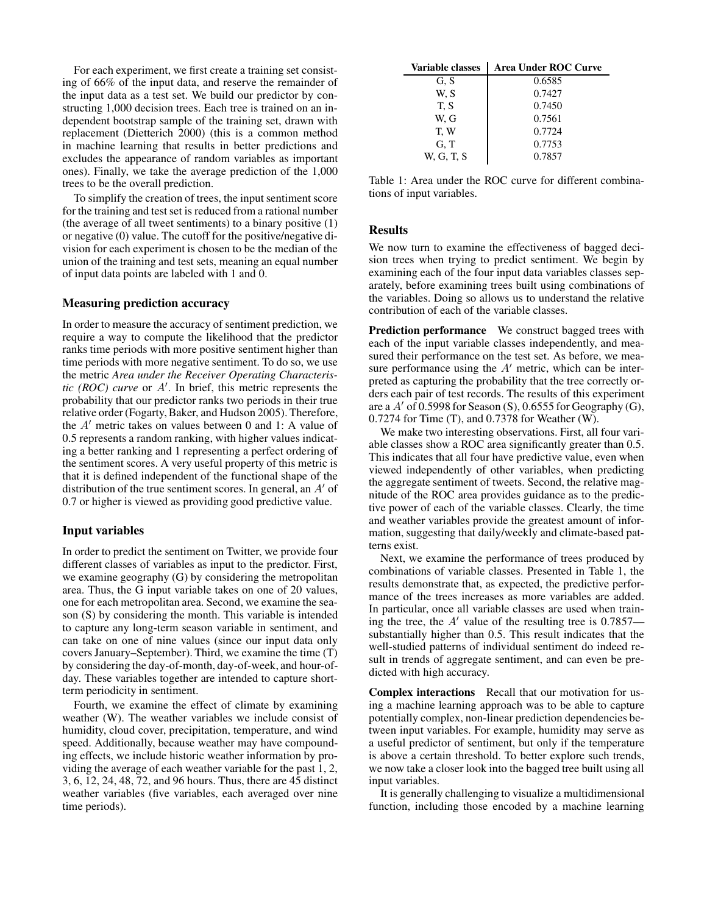For each experiment, we first create a training set consisting of 66% of the input data, and reserve the remainder of the input data as a test set. We build our predictor by constructing 1,000 decision trees. Each tree is trained on an independent bootstrap sample of the training set, drawn with replacement (Dietterich 2000) (this is a common method in machine learning that results in better predictions and excludes the appearance of random variables as important ones). Finally, we take the average prediction of the 1,000 trees to be the overall prediction.

To simplify the creation of trees, the input sentiment score for the training and test set is reduced from a rational number (the average of all tweet sentiments) to a binary positive (1) or negative (0) value. The cutoff for the positive/negative division for each experiment is chosen to be the median of the union of the training and test sets, meaning an equal number of input data points are labeled with 1 and 0.

# **Measuring prediction accuracy**

In order to measure the accuracy of sentiment prediction, we require a way to compute the likelihood that the predictor ranks time periods with more positive sentiment higher than time periods with more negative sentiment. To do so, we use the metric *Area under the Receiver Operating Characteristic (ROC) curve* or A′ . In brief, this metric represents the probability that our predictor ranks two periods in their true relative order (Fogarty, Baker, and Hudson 2005). Therefore, the A′ metric takes on values between 0 and 1: A value of 0.5 represents a random ranking, with higher values indicating a better ranking and 1 representing a perfect ordering of the sentiment scores. A very useful property of this metric is that it is defined independent of the functional shape of the distribution of the true sentiment scores. In general, an A′ of 0.7 or higher is viewed as providing good predictive value.

## **Input variables**

In order to predict the sentiment on Twitter, we provide four different classes of variables as input to the predictor. First, we examine geography (G) by considering the metropolitan area. Thus, the G input variable takes on one of 20 values, one for each metropolitan area. Second, we examine the season (S) by considering the month. This variable is intended to capture any long-term season variable in sentiment, and can take on one of nine values (since our input data only covers January–September). Third, we examine the time (T) by considering the day-of-month, day-of-week, and hour-ofday. These variables together are intended to capture shortterm periodicity in sentiment.

Fourth, we examine the effect of climate by examining weather (W). The weather variables we include consist of humidity, cloud cover, precipitation, temperature, and wind speed. Additionally, because weather may have compounding effects, we include historic weather information by providing the average of each weather variable for the past 1, 2, 3, 6, 12, 24, 48, 72, and 96 hours. Thus, there are 45 distinct weather variables (five variables, each averaged over nine time periods).

| Variable classes | <b>Area Under ROC Curve</b> |
|------------------|-----------------------------|
| G. S             | 0.6585                      |
| W. S             | 0.7427                      |
| T. S             | 0.7450                      |
| W. G             | 0.7561                      |
| T.W              | 0.7724                      |
| G, T             | 0.7753                      |
| W. G. T. S       | 0.7857                      |

Table 1: Area under the ROC curve for different combinations of input variables.

## **Results**

We now turn to examine the effectiveness of bagged decision trees when trying to predict sentiment. We begin by examining each of the four input data variables classes separately, before examining trees built using combinations of the variables. Doing so allows us to understand the relative contribution of each of the variable classes.

**Prediction performance** We construct bagged trees with each of the input variable classes independently, and measured their performance on the test set. As before, we measure performance using the  $A'$  metric, which can be interpreted as capturing the probability that the tree correctly orders each pair of test records. The results of this experiment are a  $A'$  of 0.5998 for Season (S), 0.6555 for Geography (G), 0.7274 for Time (T), and 0.7378 for Weather (W).

We make two interesting observations. First, all four variable classes show a ROC area significantly greater than 0.5. This indicates that all four have predictive value, even when viewed independently of other variables, when predicting the aggregate sentiment of tweets. Second, the relative magnitude of the ROC area provides guidance as to the predictive power of each of the variable classes. Clearly, the time and weather variables provide the greatest amount of information, suggesting that daily/weekly and climate-based patterns exist.

Next, we examine the performance of trees produced by combinations of variable classes. Presented in Table 1, the results demonstrate that, as expected, the predictive performance of the trees increases as more variables are added. In particular, once all variable classes are used when training the tree, the  $A'$  value of the resulting tree is 0.7857– substantially higher than 0.5. This result indicates that the well-studied patterns of individual sentiment do indeed result in trends of aggregate sentiment, and can even be predicted with high accuracy.

**Complex interactions** Recall that our motivation for using a machine learning approach was to be able to capture potentially complex, non-linear prediction dependencies between input variables. For example, humidity may serve as a useful predictor of sentiment, but only if the temperature is above a certain threshold. To better explore such trends, we now take a closer look into the bagged tree built using all input variables.

It is generally challenging to visualize a multidimensional function, including those encoded by a machine learning